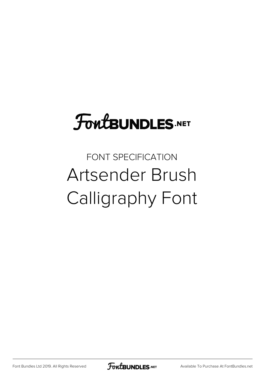## **FoutBUNDLES.NET**

## FONT SPECIFICATION Artsender Brush Calligraphy Font

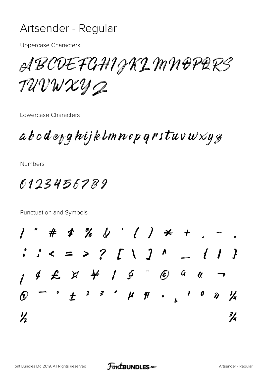## Artsender - Regular

**Uppercase Characters** 

ABCDEFGHIGKLMNOPARS TUVWXYQ

Lowercase Characters

 $abcd$ e $_{\it bg}$ hijklmnep qrstuv $w{\it x}$ y $_{\it g}$ 

**Numbers** 

0123456789

Punctuation and Symbols

 $*$  % & ' ( )  $*$  + .  $3 < 2 > 2$  [ \ ] ^ \_ { | }  $\mathbf{u}$   $\rightarrow$  $\circ$   $\pm$   $2$   $3$   $\circ$   $\mu$   $\eta$   $\circ$   $\frac{1}{2}$  $1 0 \gamma$ ષ્ટિ  $\frac{1}{2}$  $\frac{3}{4}$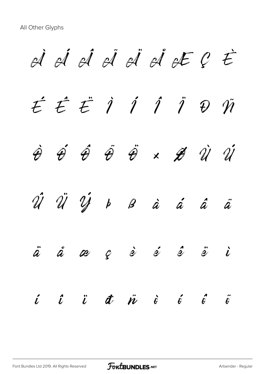À Á Â Ã Ä Å Æ Ç È É Ê Ë Ì Í Î Ï Ð Ñ  $\hat{\theta}$   $\hat{\theta}$   $\hat{\theta}$   $\hat{\theta}$   $\hat{\theta}$   $\times$   $\hat{\theta}$   $\hat{u}$   $\hat{u}$ Û Ü Ý Þ ß à á â ã  $\ddot{a}$  å æ  $e$  è é  $\dot{e}$  ë  $\ddot{e}$   $\ddot{e}$ í î ï ð ñ ò ó ô õ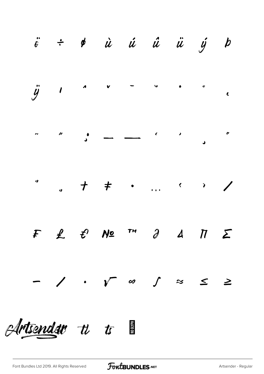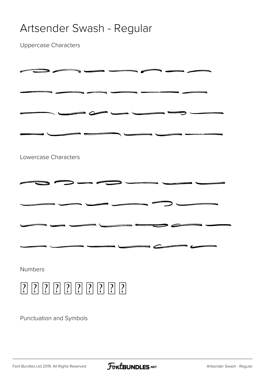## Artsender Swash - Regular

Uppercase Characters

| Lowercase Characters |  |
|----------------------|--|
|                      |  |
|                      |  |
|                      |  |
|                      |  |
| Numbers              |  |
| $\boxed{?}$          |  |

Punctuation and Symbols